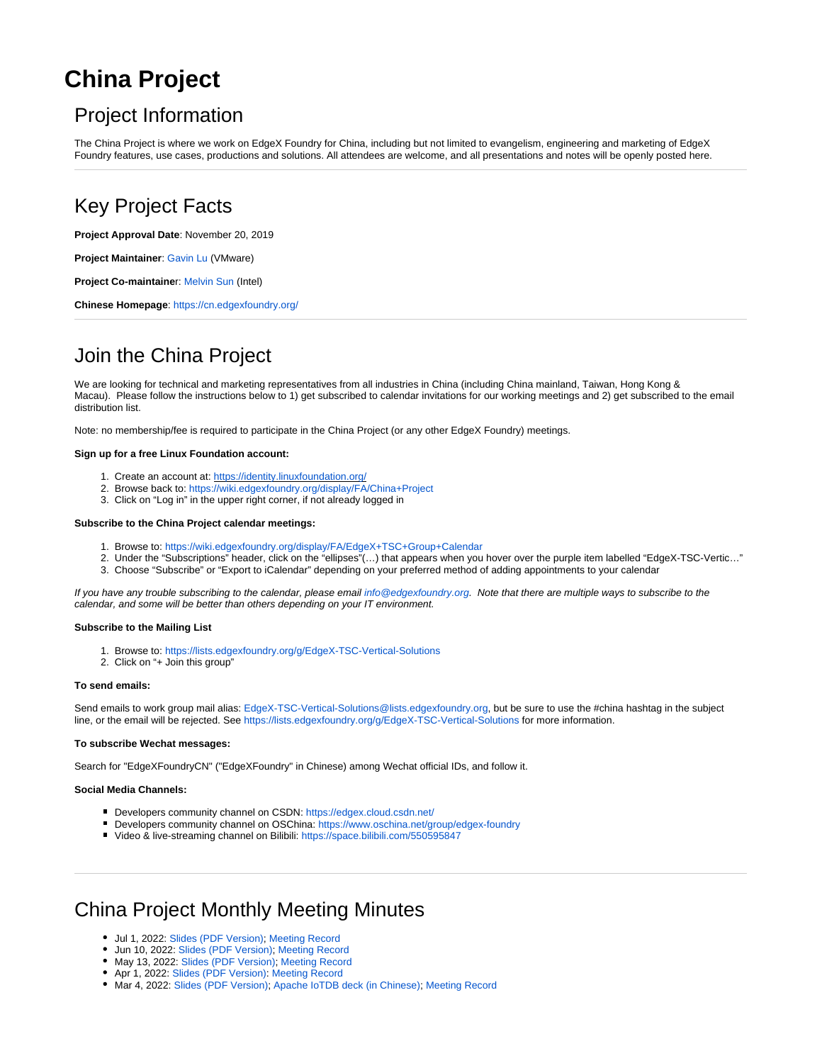# <span id="page-0-0"></span>**China Project**

## Project Information

The China Project is where we work on EdgeX Foundry for China, including but not limited to evangelism, engineering and marketing of EdgeX Foundry features, use cases, productions and solutions. All attendees are welcome, and all presentations and notes will be openly posted here.

## Key Project Facts

**Project Approval Date**: November 20, 2019

**Project Maintainer**: [Gavin Lu](mailto:gguanglu@vmware.com) (VMware)

**Project Co-maintaine**r: [Melvin Sun](mailto:melvin.sun@intel.com) (Intel)

**Chinese Homepage**:<https://cn.edgexfoundry.org/>

## Join the China Project

We are looking for technical and marketing representatives from all industries in China (including China mainland, Taiwan, Hong Kong & Macau). Please follow the instructions below to 1) get subscribed to calendar invitations for our working meetings and 2) get subscribed to the email distribution list.

Note: no membership/fee is required to participate in the China Project (or any other EdgeX Foundry) meetings.

#### **Sign up for a free Linux Foundation account:**

- 1. Create an account at:<https://identity.linuxfoundation.org/>
- 2. Browse back to: [https://wiki.edgexfoundry.org/display/FA/China+Project](#page-0-0)
- 3. Click on "Log in" in the upper right corner, if not already logged in

#### **Subscribe to the China Project calendar meetings:**

- 1. Browse to:<https://wiki.edgexfoundry.org/display/FA/EdgeX+TSC+Group+Calendar>
- 2. Under the "Subscriptions" header, click on the "ellipses"(…) that appears when you hover over the purple item labelled "EdgeX-TSC-Vertic…"
- 3. Choose "Subscribe" or "Export to iCalendar" depending on your preferred method of adding appointments to your calendar

If you have any trouble subscribing to the calendar, please email [info@edgexfoundry.org.](mailto:info@edgexfoundry.org) Note that there are multiple ways to subscribe to the calendar, and some will be better than others depending on your IT environment.

#### **Subscribe to the Mailing List**

- 1. Browse to:<https://lists.edgexfoundry.org/g/EdgeX-TSC-Vertical-Solutions>
- 2. Click on "+ Join this group"

#### **To send emails:**

Send emails to work group mail alias: [EdgeX-TSC-Vertical-Solutions@lists.edgexfoundry.org,](mailto:EdgeX-TSC-Vertical-Solutions@lists.edgexfoundry.org) but be sure to use the #china hashtag in the subject line, or the email will be rejected. See <https://lists.edgexfoundry.org/g/EdgeX-TSC-Vertical-Solutions>for more information.

#### **To subscribe Wechat messages:**

Search for "EdgeXFoundryCN" ("EdgeXFoundry" in Chinese) among Wechat official IDs, and follow it.

#### **Social Media Channels:**

- Developers community channel on CSDN:<https://edgex.cloud.csdn.net/>
- Developers community channel on OSChina:<https://www.oschina.net/group/edgex-foundry>
- Video & live-streaming channel on Bilibili: <https://space.bilibili.com/550595847>

## China Project Monthly Meeting Minutes

- Jul 1, 2022: [Slides \(PDF Version\)](https://wiki.edgexfoundry.org/download/attachments/37912893/EdgeX-China-Project-Monthly-Meeting-Jul-1-v2.pdf?version=1&modificationDate=1656661672854&api=v2); [Meeting Record](https://zoom.us/rec/share/Jji-VgIpq_Jp_K1ixIggUGpP_Omf67HDOskSUPp31YUSq31U36dDJ28zot19FtXT.TA89yzzqpj3d5PKZ)
- Jun 10, 2022: [Slides \(PDF Version\)](https://wiki.edgexfoundry.org/download/attachments/37912893/EdgeX-China-Project-Monthly-Meeting-Jun-10-v3.pdf?version=1&modificationDate=1654846461000&api=v2); [Meeting Record](https://wiki.edgexfoundry.org/download/attachments/37912893/EdgeX-China-Project-Monthly-Meeting-Jun-10-v3.pdf?version=1&modificationDate=1654846461000&api=v2)
- $\bullet$  May 13, 2022: [Slides \(PDF Version\)](https://wiki.edgexfoundry.org/download/attachments/37912893/EdgeX-China-Project-Monthly-Meeting-May-13-v2.1.pdf?version=1&modificationDate=1652428401000&api=v2); [Meeting Record](https://zoom.us/rec/share/Yvb-IOFjafyxPJd9RZJUOSpKUd0J2N7SRFdGsghV9Ple7knjvJB9Dc-gkee5X7bc.Le9S5ZKPU7Twc8eK)
- Apr 1, 2022: [Slides \(PDF Version\)](https://wiki.edgexfoundry.org/download/attachments/37912893/EdgeX-China-Project-Monthly-Meeting-Apr-1-v2.1.pdf?version=1&modificationDate=1648798505000&api=v2): [Meeting Record](https://wiki.edgexfoundry.org/download/attachments/37912893/Apache%20IoTDB.pdf?version=1&modificationDate=1646385090000&api=v2)
- Mar 4, 2022: [Slides \(PDF Version\);](https://wiki.edgexfoundry.org/download/attachments/37912893/EdgeX-China-Project-Monthly-Meeting-Mar-4-v1.4.pdf?version=1&modificationDate=1646382737000&api=v2) [Apache IoTDB deck \(in Chinese\)](https://wiki.edgexfoundry.org/download/attachments/37912893/Apache%20IoTDB.pdf?version=1&modificationDate=1646385090000&api=v2); [Meeting Record](https://wiki.edgexfoundry.org/download/attachments/37912893/EdgeX-China-Project-Monthly-Meeting-Jan-22-v2.2.pdf?version=1&modificationDate=1641541841000&api=v2)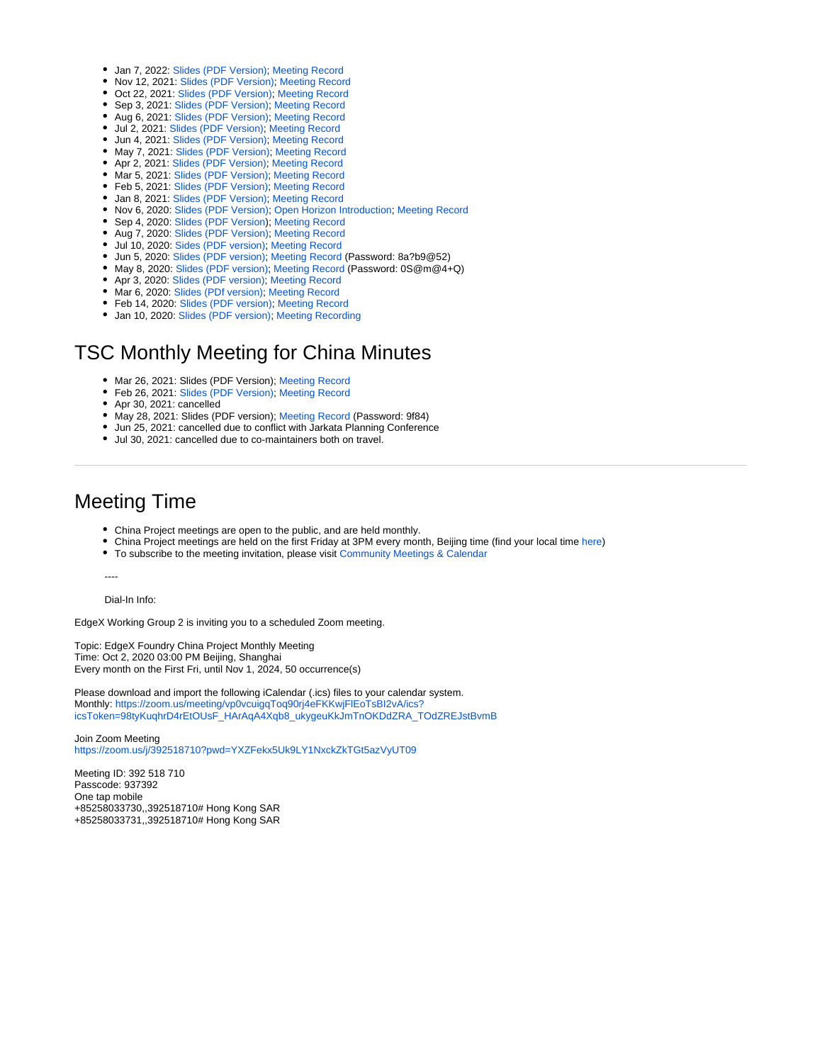- Jan 7, 2022: [Slides \(PDF Version\);](https://wiki.edgexfoundry.org/download/attachments/37912893/EdgeX-China-Project-Monthly-Meeting-Jan-22-v2.2.pdf?version=1&modificationDate=1641541841000&api=v2) [Meeting Record](https://zoom.us/rec/share/cO1M3_GjrtPd0_evDMO4N02u_jUJy7DEp5wPiGTJ-h7t91qUADnDRoHcF5h9SDwY.sHFCHt7ChfDFXAar)
- Nov 12, 2021: [Slides \(PDF Version\)](https://wiki.edgexfoundry.org/download/attachments/37912893/EdgeX-China-Project-Monthly-Meeting-Nov-12-v2.3.pdf?version=1&modificationDate=1636704476000&api=v2); [Meeting Record](https://zoom.us/rec/share/1Gh-3Iitk-AVEAlk5aSw0yyrIUNwD_PSxZPmkHZS0ccpoleTVOZiLFp3ehK8k_48.2osmM386OFOL2qwV)
- Oct 22, 2021: [Slides \(PDF Version\);](https://wiki.edgexfoundry.org/download/attachments/37912893/EdgeX-China-Project-Monthly-Meeting-Oct-22-v2.5.pdf?version=1&modificationDate=1634892648000&api=v2) [Meeting Record](https://zoom.us/rec/share/8arUW8bPAq4XH_OAl-0VbFn839LsAJkxeyX13Rigdc6Hg4uwC2IbkE8VuCczt5Hd.b4UWzQn7uB6bZA2M)
- Sep 3, 2021: [Slides \(PDF Version\)](https://wiki.edgexfoundry.org/download/attachments/37912893/EdgeX-China-Project-Monthly-Meeting-Sep-3-v3.2.pdf?version=1&modificationDate=1630847960000&api=v2); [Meeting Record](https://zoom.us/rec/share/AMgAStO0NEsDT7ZmrwWicRurJwnpIbRAAyR1ITEA68nQqtAAtqDVuWttjINVYRum.6PVMRJc7LEebpS2G) • Aug 6, 2021: [Slides \(PDF Version\)](https://wiki.edgexfoundry.org/download/attachments/37912893/EdgeX-China-Project-Monthly-Meeting-Aug-6-v2.6.pdf?version=1&modificationDate=1628235630000&api=v2); [Meeting Record](https://zoom.us/rec/share/3O_rifOAYKjasVY-QKcgLIMgAl60Rh9kZ6j5W4Bcjl8qcLVRNM7TIMLxfQICBFkL.vQLx-myQGme5nOb9)
- Jul 2, 2021: [Slides \(PDF Version\)](https://wiki.edgexfoundry.org/download/attachments/37912893/EdgeX-China-Project-Monthly-Meeting-Jul-2-v2.1.pdf?version=1&modificationDate=1625217986000&api=v2); [Meeting Record](https://zoom.us/rec/play/bsJ1pddpDZYH5fIK7wAwXTCWNt4j3r2PsJjBVy9yu0Mns4bACzUJbCOLobD0QajDrd-fBXlyj5q6VqLc.XejddB5CacDWEXuQ?autoplay=true&continueMode=true&startTime=1625209370000)
- Jun 4, 2021: [Slides \(PDF Version\);](https://wiki.edgexfoundry.org/download/attachments/37912893/EdgeX-China-Project-Monthly-Meeting-Jun-2021-v2.2.pdf?version=1&modificationDate=1622794025000&api=v2) [Meeting Record](https://zoom.us/rec/share/CePVSwF2sVzN1A_Zz0nj74zabGCD2aczIVUZym6MtPGfJryXl-yQeAkpLyFntQo.-0XgminNXR20lJBw)
- May 7, 2021: [Slides \(PDF Version\);](https://wiki.edgexfoundry.org/download/attachments/37912893/EdgeX-China-Project-Monthly-Meeting-May-2021-v2.pdf?version=1&modificationDate=1620374432000&api=v2) [Meeting Record](https://zoom.us/rec/share/h4lHMs_14Wo7WOTKmORx0zgoNY1zeXDhEnKQ-CNtW_FVvn_G4eW1PzYPJhMoR_YX.QWJbAAJWaYCKiye1)
- Apr 2, 2021: [Slides \(PDF Version\)](https://wiki.edgexfoundry.org/download/attachments/37912893/EdgeX-China-Project-Monthly-Meeting-Apr-2021-v1.4.pdf?version=1&modificationDate=1617351147000&api=v2); [Meeting Record](https://zoom.us/rec/share/4VwGLQuYMsQdwWIv3H1cj4XiQgNSaIzLIvvkTHVrqEHTgolr2RMrFv7pm4SJUrbQ.tzS1bzA_Tz_1ZEoM)
- Mar 5, 2021: [Slides \(PDF Version\);](https://wiki.edgexfoundry.org/download/attachments/37912893/EdgeX-China-Project-Monthly-Meeting-Mar-2021-v2.3.pdf?version=1&modificationDate=1614931002000&api=v2) [Meeting Record](https://zoom.us/rec/share/xHd1vnkwPtjtvBYGfG66qIaXD_S1BOkk56xsC1KH9s7ZiLm57lBOmM2TzBOd7nns.wbhiPyj3Qb-1hYHp)
- Feb 5, 2021: [Slides \(PDF Version\);](https://wiki.edgexfoundry.org/download/attachments/37912893/EdgeX-China-Project-Monthly-Meeting-Feb-2021-v2.1.pdf?version=1&modificationDate=1612511434000&api=v2) [Meeting Record](https://zoom.us/rec/share/vcrZuIOzX7Zp_lAxVqZFwIxMO9mUv2ev-VUwXrFsUfhRxRmtKXjRVhO0duKVQzoY.pAUBeC-Jqaotev9I)
- Jan 8, 2021: [Slides \(PDF Version\);](https://wiki.edgexfoundry.org/download/attachments/37912893/EdgeX-China-Project-Monthly-Meeting-Jan-2021-v2.0.pdf?version=1&modificationDate=1610093803000&api=v2) [Meeting Record](https://zoom.us/rec/share/2lI5PwBGCg-GnKqyJSbBOVmh5VVAUpbZGG5Q45JcN6CgtybCc6IOxk19ygDgwwHs.kU2aomjsf6bG4MS6)
- Nov 6, 2020: [Slides \(PDF Version\)](https://wiki.edgexfoundry.org/download/attachments/37912893/EdgeX-China-Project-Monthly-Meeting-Nov-2020-v3.1.pdf?version=1&modificationDate=1604650565000&api=v2); [Open Horizon Introduction;](https://wiki.edgexfoundry.org/download/attachments/37912893/OH_China_SIG_Master.pdf?version=1&modificationDate=1604650655000&api=v2) [Meeting Record](https://zoom.us/rec/share/cjS4NaZfFePmwiWK6V9FRfgw2Rmrr1MhbSuYI2SC6XNwOISMncu0IWb2spQ1uE5N.iTLu2pa3-YA3TKto)
- Sep 4, 2020: [Slides \(PDF Version\)](https://wiki.edgexfoundry.org/download/attachments/37912893/EdgeX-China-Project-Monthly-Meeting-Sep-2020-v5.pdf?version=1&modificationDate=1599207767000&api=v2); [Meeting Record](https://zoom.us/rec/share/WdNS-67pYpo3M-PsdidWhtWa58z58mRlM1bJwVPivttd4hA4HV8nzoi9X0VDedYV.LbGc56-0EqcxSTjt)
- Aug 7, 2020: [Slides \(PDF Version\)](https://wiki.edgexfoundry.org/download/attachments/37912893/EdgeX-China-Project-Monthly-Meeting-Aug-2020-v4.pdf?version=1&modificationDate=1596786581000&api=v2); [Meeting Record](https://zoom.us/rec/share/7vB4cYz31SBJa6_32kHEVo8NNK_Yeaa82iIbr_cMmU9k9mFe6i1M_0hR45R6p203)
- Jul 10, 2020: [Sides \(PDF version\);](https://wiki.edgexfoundry.org/download/attachments/37912893/EdgeX-China-Project-Monthly-Meeting-Jul-2020-v3.2.pdf?version=1&modificationDate=1594366275000&api=v2) [Meeting Record](https://zoom.us/rec/share/tOsrJZLs7nhLbJ320kjDR4UuIpvrT6a8gCEf8vdfyh6jzumawqn1KyQ6fG99EgRR)
- Jun 5, 2020: [Slides \(PDF version\);](https://wiki.edgexfoundry.org/download/attachments/37912893/EdgeX-China-Project-Monthly-Meeting-Jun-2020-v3.3.pdf?version=1&modificationDate=1591346989000&api=v2) [Meeting Record](https://zoom.us/rec/share/_fItd4jB3X5Oep2dtGiEdP4cIoPGX6a8hyBM_6AJnU9AqnqEkDxEY67Nz41FngAs) (Password: 8a?b9@52)
- May 8, 2020: [Slides \(PDF version\);](https://wiki.edgexfoundry.org/download/attachments/37912893/EdgeX-China-Project-Monthly-Meeting-May-2020-v3.2.pdf?version=1&modificationDate=1588924312000&api=v2) [Meeting Record](https://zoom.us/rec/share/5JNaNa7q_WhOQ43B0x71XvcQTo3feaa80SMX86Vbmhrd_wNtSWRFBy8dCNu8QiX1) (Password: 0S@m@4+Q)
- Apr 3, 2020: [Slides \(PDF version\)](https://wiki.edgexfoundry.org/download/attachments/37912893/EdgeX-China-Project-Monthly-Meeting-Apr-2020-v4.2.pdf?version=1&modificationDate=1585905785000&api=v2); [Meeting Record](https://zoom.us/rec/share/9MkvKb3h_GxLWoWU8k2Da_d6Q9u1T6a8gSIfrvYKmk8RHwq5105d4_wHo_1NanNO)
- Mar 6, 2020: [Slides \(PDf version\);](https://wiki.edgexfoundry.org/download/attachments/37912893/EdgeX-China-Project-Monthly-Meeting-Mar-2020-v2.2.pdf?version=1&modificationDate=1583723096000&api=v2) [Meeting Record](https://zoom.us/rec/share/9dR4Nujp6lxJZdLJ6RD-ALMCMdrcT6a81SkarPFZzUe0aWe7rlbLQe0g21VBaYsb)
- Feb 14, 2020: [Slides \(PDF version\);](https://wiki.edgexfoundry.org/download/attachments/37912893/EdgeX-China-Project-Monthly-Meeting-Feb-2020-v3.pdf?version=1&modificationDate=1581676067000&api=v2) [Meeting Record](https://zoom.us/rec/play/6ccuf72tqTg3GtGd4QSDAfB_W9TuJ6ys1ycZ_fYJxEqwUHQCMAf0NLATYuvZkqTQMkdnQxlY2Ds_UKMy)
- Jan 10, 2020: [Slides \(PDF version\);](https://wiki.edgexfoundry.org/download/attachments/37912893/EdgeX-China-Project-Monthly-Meeting-v2.pdf?version=1&modificationDate=1578645507000&api=v2) [Meeting Recording](https://zoom.us/rec/share/3etYKInu10hJG5XK52CFQP5xE5j_T6a8hiQWqfZcxUyH6CgTObMCzACnwh1KuAKi)

### TSC Monthly Meeting for China Minutes

- Mar 26, 2021: Slides (PDF Version); [Meeting Record](https://zoom.us/rec/share/aCrMfK-uyJMhxITKLd70IvDDbUF7FEYaxH2lhJszFmjxRCs5QJQmwPdCiBmWRJLC.1rw-mbjFMmPMyaKu)
- Feb 26, 2021: [Slides \(PDF Version\);](https://wiki.edgexfoundry.org/download/attachments/37912893/EdgeX-PRC-TSC-Update-2-21.pdf?version=1&modificationDate=1614313980000&api=v2) [Meeting Record](https://zoom.us/rec/share/YlY8s1943V03Urll6kzgM4un0ueCeFO9wPw5mNld8RuNPs8XZ6DYQ6ejdsDAZNpM.0oenomUzGVldOhd2)
- Apr 30, 2021: cancelled
- May 28, 2021: Slides (PDF version); [Meeting Record](https://pan.baidu.com/s/10rViLXZh0Q3Xtoa2ST0giQ) (Password: 9f84)
- Jun 25, 2021: cancelled due to conflict with Jarkata Planning Conference
- Jul 30, 2021: cancelled due to co-maintainers both on travel.

### Meeting Time

- China Project meetings are open to the public, and are held monthly.
- China Project meetings are held on the first Friday at 3PM every month, Beijing time (find your local time [here\)](https://www.worldtimebuddy.com/)
- To subscribe to the meeting invitation, please visit [Community Meetings & Calendar](https://wiki.edgexfoundry.org/pages/viewpage.action?pageId=21824127)

----

Dial-In Info:

EdgeX Working Group 2 is inviting you to a scheduled Zoom meeting.

Topic: EdgeX Foundry China Project Monthly Meeting Time: Oct 2, 2020 03:00 PM Beijing, Shanghai Every month on the First Fri, until Nov 1, 2024, 50 occurrence(s)

Please download and import the following iCalendar (.ics) files to your calendar system. Monthly: [https://zoom.us/meeting/vp0vcuigqToq90rj4eFKKwjFlEoTsBI2vA/ics?](https://zoom.us/meeting/vp0vcuigqToq90rj4eFKKwjFlEoTsBI2vA/ics?icsToken=98tyKuqhrD4rEtOUsF_HArAqA4Xqb8_ukygeuKkJmTnOKDdZRA_TOdZREJstBvmB) [icsToken=98tyKuqhrD4rEtOUsF\\_HArAqA4Xqb8\\_ukygeuKkJmTnOKDdZRA\\_TOdZREJstBvmB](https://zoom.us/meeting/vp0vcuigqToq90rj4eFKKwjFlEoTsBI2vA/ics?icsToken=98tyKuqhrD4rEtOUsF_HArAqA4Xqb8_ukygeuKkJmTnOKDdZRA_TOdZREJstBvmB)

Join Zoom Meeting <https://zoom.us/j/392518710?pwd=YXZFekx5Uk9LY1NxckZkTGt5azVyUT09>

Meeting ID: 392 518 710 Passcode: 937392 One tap mobile +85258033730,,392518710# Hong Kong SAR +85258033731,,392518710# Hong Kong SAR